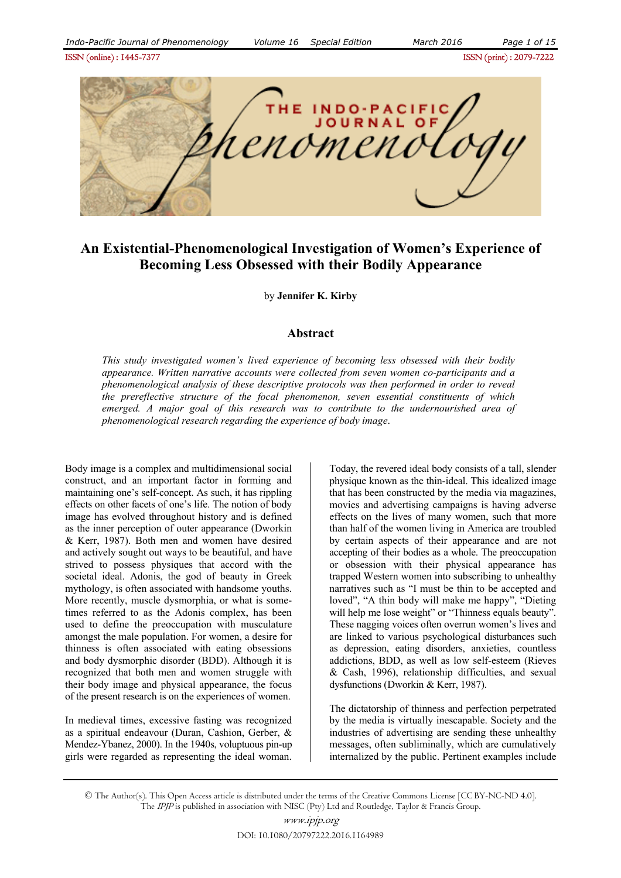ISSN (online) : 1445-7377ISSN (print) : 2079-7222



# **An Existential-Phenomenological Investigation of Women's Experience of Becoming Less Obsessed with their Bodily Appearance**

by **Jennifer K. Kirby**

### **Abstract**

*This study investigated women's lived experience of becoming less obsessed with their bodily appearance. Written narrative accounts were collected from seven women co-participants and a phenomenological analysis of these descriptive protocols was then performed in order to reveal the prereflective structure of the focal phenomenon, seven essential constituents of which emerged. A major goal of this research was to contribute to the undernourished area of phenomenological research regarding the experience of body image*.

Body image is a complex and multidimensional social construct, and an important factor in forming and maintaining one's self-concept. As such, it has rippling effects on other facets of one's life. The notion of body image has evolved throughout history and is defined as the inner perception of outer appearance (Dworkin & Kerr, 1987). Both men and women have desired and actively sought out ways to be beautiful, and have strived to possess physiques that accord with the societal ideal. Adonis, the god of beauty in Greek mythology, is often associated with handsome youths. More recently, muscle dysmorphia, or what is sometimes referred to as the Adonis complex, has been used to define the preoccupation with musculature amongst the male population. For women, a desire for thinness is often associated with eating obsessions and body dysmorphic disorder (BDD). Although it is recognized that both men and women struggle with their body image and physical appearance, the focus of the present research is on the experiences of women.

In medieval times, excessive fasting was recognized as a spiritual endeavour (Duran, Cashion, Gerber, & Mendez-Ybanez, 2000). In the 1940s, voluptuous pin-up girls were regarded as representing the ideal woman.

Today, the revered ideal body consists of a tall, slender physique known as the thin-ideal. This idealized image that has been constructed by the media via magazines, movies and advertising campaigns is having adverse effects on the lives of many women, such that more than half of the women living in America are troubled by certain aspects of their appearance and are not accepting of their bodies as a whole. The preoccupation or obsession with their physical appearance has trapped Western women into subscribing to unhealthy narratives such as "I must be thin to be accepted and loved", "A thin body will make me happy", "Dieting will help me lose weight" or "Thinness equals beauty". These nagging voices often overrun women's lives and are linked to various psychological disturbances such as depression, eating disorders, anxieties, countless addictions, BDD, as well as low self-esteem (Rieves & Cash, 1996), relationship difficulties, and sexual dysfunctions (Dworkin & Kerr, 1987).

The dictatorship of thinness and perfection perpetrated by the media is virtually inescapable. Society and the industries of advertising are sending these unhealthy messages, often subliminally, which are cumulatively internalized by the public. Pertinent examples include

<sup>©</sup> The Author(s). This Open Access article is distributed under the terms of the Creative Commons License [CC BY-NC-ND 4.0]. The IPJP is published in association with NISC (Pty) Ltd and Routledge, Taylor & Francis Group.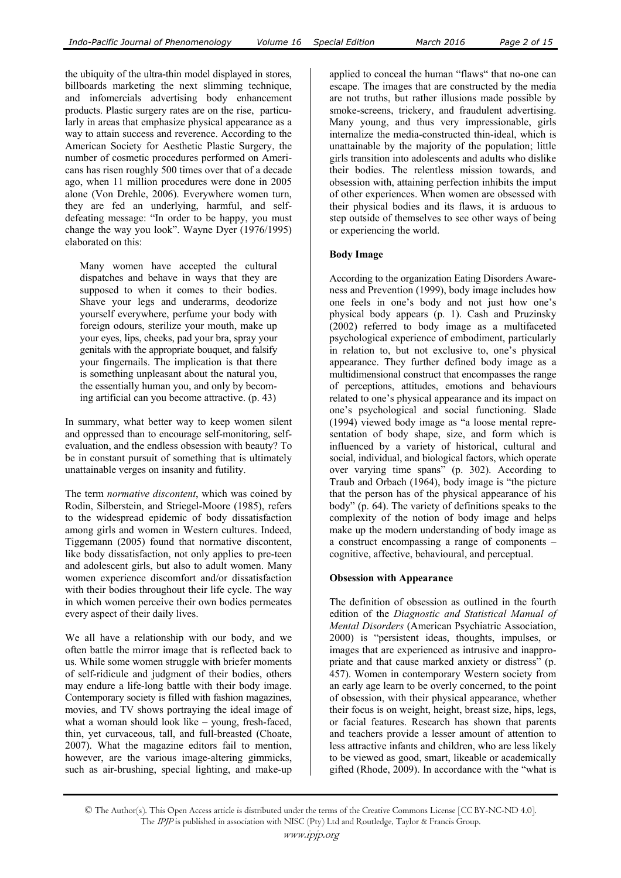the ubiquity of the ultra-thin model displayed in stores, billboards marketing the next slimming technique, and infomercials advertising body enhancement products. Plastic surgery rates are on the rise, particularly in areas that emphasize physical appearance as a way to attain success and reverence. According to the American Society for Aesthetic Plastic Surgery, the number of cosmetic procedures performed on Americans has risen roughly 500 times over that of a decade ago, when 11 million procedures were done in 2005 alone (Von Drehle, 2006). Everywhere women turn, they are fed an underlying, harmful, and selfdefeating message: "In order to be happy, you must change the way you look". Wayne Dyer (1976/1995) elaborated on this:

Many women have accepted the cultural dispatches and behave in ways that they are supposed to when it comes to their bodies. Shave your legs and underarms, deodorize yourself everywhere, perfume your body with foreign odours, sterilize your mouth, make up your eyes, lips, cheeks, pad your bra, spray your genitals with the appropriate bouquet, and falsify your fingernails. The implication is that there is something unpleasant about the natural you, the essentially human you, and only by becoming artificial can you become attractive. (p. 43)

In summary, what better way to keep women silent and oppressed than to encourage self-monitoring, selfevaluation, and the endless obsession with beauty? To be in constant pursuit of something that is ultimately unattainable verges on insanity and futility.

The term *normative discontent*, which was coined by Rodin, Silberstein, and Striegel-Moore (1985), refers to the widespread epidemic of body dissatisfaction among girls and women in Western cultures. Indeed, Tiggemann (2005) found that normative discontent, like body dissatisfaction, not only applies to pre-teen and adolescent girls, but also to adult women. Many women experience discomfort and/or dissatisfaction with their bodies throughout their life cycle. The way in which women perceive their own bodies permeates every aspect of their daily lives.

We all have a relationship with our body, and we often battle the mirror image that is reflected back to us. While some women struggle with briefer moments of self-ridicule and judgment of their bodies, others may endure a life-long battle with their body image. Contemporary society is filled with fashion magazines, movies, and TV shows portraying the ideal image of what a woman should look like – young, fresh-faced, thin, yet curvaceous, tall, and full-breasted (Choate, 2007). What the magazine editors fail to mention, however, are the various image-altering gimmicks, such as air-brushing, special lighting, and make-up applied to conceal the human "flaws" that no-one can escape. The images that are constructed by the media are not truths, but rather illusions made possible by smoke-screens, trickery, and fraudulent advertising. Many young, and thus very impressionable, girls internalize the media-constructed thin-ideal, which is unattainable by the majority of the population; little girls transition into adolescents and adults who dislike their bodies. The relentless mission towards, and obsession with, attaining perfection inhibits the imput of other experiences. When women are obsessed with their physical bodies and its flaws, it is arduous to step outside of themselves to see other ways of being or experiencing the world.

### **Body Image**

According to the organization Eating Disorders Awareness and Prevention (1999), body image includes how one feels in one's body and not just how one's physical body appears (p. 1). Cash and Pruzinsky (2002) referred to body image as a multifaceted psychological experience of embodiment, particularly in relation to, but not exclusive to, one's physical appearance. They further defined body image as a multidimensional construct that encompasses the range of perceptions, attitudes, emotions and behaviours related to one's physical appearance and its impact on one's psychological and social functioning. Slade (1994) viewed body image as "a loose mental representation of body shape, size, and form which is influenced by a variety of historical, cultural and social, individual, and biological factors, which operate over varying time spans" (p. 302). According to Traub and Orbach (1964), body image is "the picture that the person has of the physical appearance of his body" (p. 64). The variety of definitions speaks to the complexity of the notion of body image and helps make up the modern understanding of body image as a construct encompassing a range of components – cognitive, affective, behavioural, and perceptual.

## **Obsession with Appearance**

The definition of obsession as outlined in the fourth edition of the *Diagnostic and Statistical Manual of Mental Disorders* (American Psychiatric Association, 2000) is "persistent ideas, thoughts, impulses, or images that are experienced as intrusive and inappropriate and that cause marked anxiety or distress" (p. 457). Women in contemporary Western society from an early age learn to be overly concerned, to the point of obsession, with their physical appearance, whether their focus is on weight, height, breast size, hips, legs, or facial features. Research has shown that parents and teachers provide a lesser amount of attention to less attractive infants and children, who are less likely to be viewed as good, smart, likeable or academically gifted (Rhode, 2009). In accordance with the "what is

<sup>©</sup> The Author(s). This Open Access article is distributed under the terms of the Creative Commons License [CC BY-NC-ND 4.0]. The IPJP is published in association with NISC (Pty) Ltd and Routledge, Taylor & Francis Group.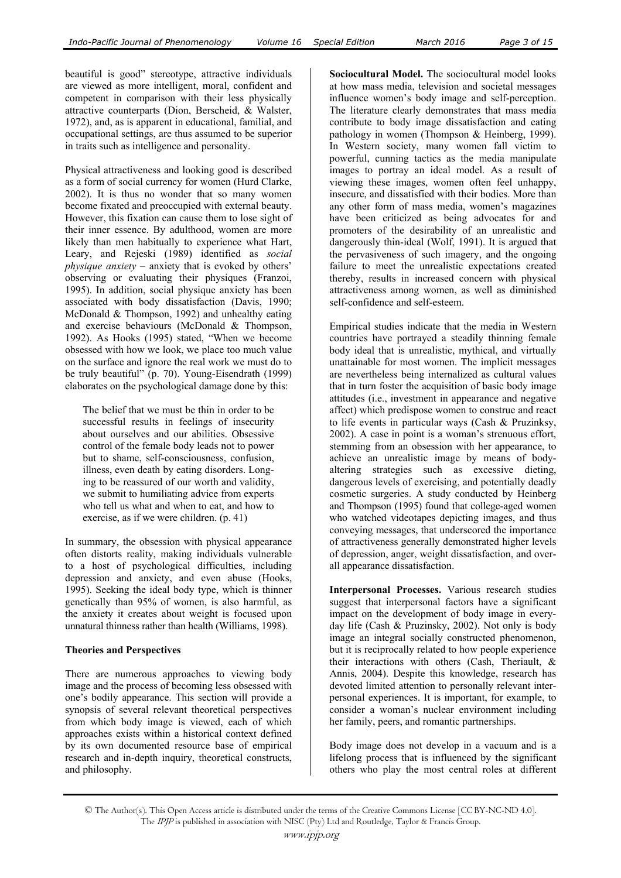beautiful is good" stereotype, attractive individuals are viewed as more intelligent, moral, confident and competent in comparison with their less physically attractive counterparts (Dion, Berscheid, & Walster, 1972), and, as is apparent in educational, familial, and occupational settings, are thus assumed to be superior in traits such as intelligence and personality.

Physical attractiveness and looking good is described as a form of social currency for women (Hurd Clarke, 2002). It is thus no wonder that so many women become fixated and preoccupied with external beauty. However, this fixation can cause them to lose sight of their inner essence. By adulthood, women are more likely than men habitually to experience what Hart, Leary, and Rejeski (1989) identified as *social physique anxiety* – anxiety that is evoked by others' observing or evaluating their physiques (Franzoi, 1995). In addition, social physique anxiety has been associated with body dissatisfaction (Davis, 1990; McDonald & Thompson, 1992) and unhealthy eating and exercise behaviours (McDonald & Thompson, 1992). As Hooks (1995) stated, "When we become obsessed with how we look, we place too much value on the surface and ignore the real work we must do to be truly beautiful" (p. 70). Young-Eisendrath (1999) elaborates on the psychological damage done by this:

The belief that we must be thin in order to be successful results in feelings of insecurity about ourselves and our abilities. Obsessive control of the female body leads not to power but to shame, self-consciousness, confusion, illness, even death by eating disorders. Longing to be reassured of our worth and validity, we submit to humiliating advice from experts who tell us what and when to eat, and how to exercise, as if we were children. (p. 41)

In summary, the obsession with physical appearance often distorts reality, making individuals vulnerable to a host of psychological difficulties, including depression and anxiety, and even abuse (Hooks, 1995). Seeking the ideal body type, which is thinner genetically than 95% of women, is also harmful, as the anxiety it creates about weight is focused upon unnatural thinness rather than health (Williams, 1998).

## **Theories and Perspectives**

There are numerous approaches to viewing body image and the process of becoming less obsessed with one's bodily appearance. This section will provide a synopsis of several relevant theoretical perspectives from which body image is viewed, each of which approaches exists within a historical context defined by its own documented resource base of empirical research and in-depth inquiry, theoretical constructs, and philosophy.

**Sociocultural Model.** The sociocultural model looks at how mass media, television and societal messages influence women's body image and self-perception. The literature clearly demonstrates that mass media contribute to body image dissatisfaction and eating pathology in women (Thompson & Heinberg, 1999). In Western society, many women fall victim to powerful, cunning tactics as the media manipulate images to portray an ideal model. As a result of viewing these images, women often feel unhappy, insecure, and dissatisfied with their bodies. More than any other form of mass media, women's magazines have been criticized as being advocates for and promoters of the desirability of an unrealistic and dangerously thin-ideal (Wolf, 1991). It is argued that the pervasiveness of such imagery, and the ongoing failure to meet the unrealistic expectations created thereby, results in increased concern with physical attractiveness among women, as well as diminished self-confidence and self-esteem.

Empirical studies indicate that the media in Western countries have portrayed a steadily thinning female body ideal that is unrealistic, mythical, and virtually unattainable for most women. The implicit messages are nevertheless being internalized as cultural values that in turn foster the acquisition of basic body image attitudes (i.e., investment in appearance and negative affect) which predispose women to construe and react to life events in particular ways (Cash & Pruzinksy, 2002). A case in point is a woman's strenuous effort, stemming from an obsession with her appearance, to achieve an unrealistic image by means of bodyaltering strategies such as excessive dieting, dangerous levels of exercising, and potentially deadly cosmetic surgeries. A study conducted by Heinberg and Thompson (1995) found that college-aged women who watched videotapes depicting images, and thus conveying messages, that underscored the importance of attractiveness generally demonstrated higher levels of depression, anger, weight dissatisfaction, and overall appearance dissatisfaction.

**Interpersonal Processes.** Various research studies suggest that interpersonal factors have a significant impact on the development of body image in everyday life (Cash & Pruzinsky, 2002). Not only is body image an integral socially constructed phenomenon, but it is reciprocally related to how people experience their interactions with others (Cash, Theriault, & Annis, 2004). Despite this knowledge, research has devoted limited attention to personally relevant interpersonal experiences. It is important, for example, to consider a woman's nuclear environment including her family, peers, and romantic partnerships.

Body image does not develop in a vacuum and is a lifelong process that is influenced by the significant others who play the most central roles at different

<sup>©</sup> The Author(s). This Open Access article is distributed under the terms of the Creative Commons License [CC BY-NC-ND 4.0]. The IPJP is published in association with NISC (Pty) Ltd and Routledge, Taylor & Francis Group.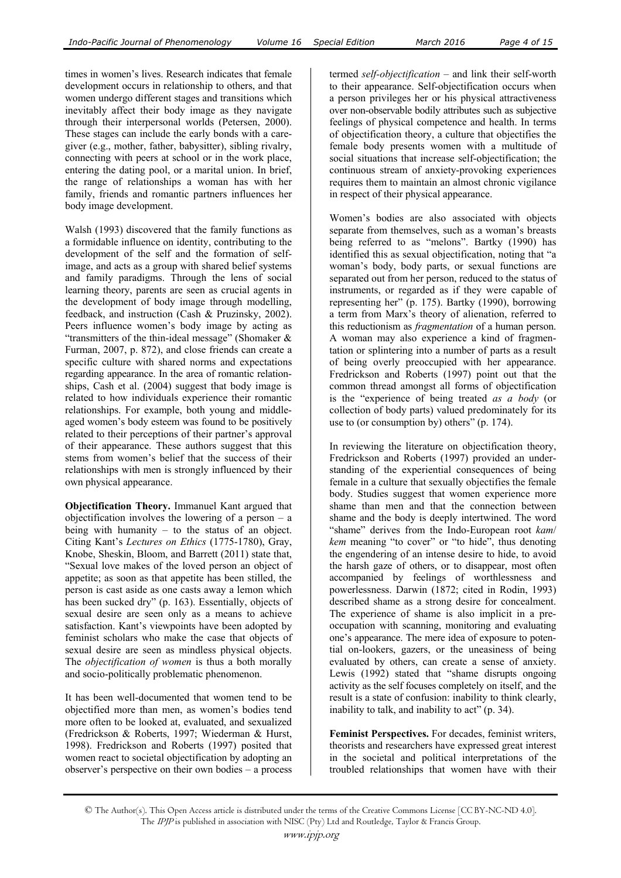times in women's lives. Research indicates that female development occurs in relationship to others, and that women undergo different stages and transitions which inevitably affect their body image as they navigate through their interpersonal worlds (Petersen, 2000). These stages can include the early bonds with a caregiver (e.g., mother, father, babysitter), sibling rivalry, connecting with peers at school or in the work place, entering the dating pool, or a marital union. In brief, the range of relationships a woman has with her family, friends and romantic partners influences her body image development.

Walsh (1993) discovered that the family functions as a formidable influence on identity, contributing to the development of the self and the formation of selfimage, and acts as a group with shared belief systems and family paradigms. Through the lens of social learning theory, parents are seen as crucial agents in the development of body image through modelling, feedback, and instruction (Cash & Pruzinsky, 2002). Peers influence women's body image by acting as "transmitters of the thin-ideal message" (Shomaker & Furman, 2007, p. 872), and close friends can create a specific culture with shared norms and expectations regarding appearance. In the area of romantic relationships, Cash et al. (2004) suggest that body image is related to how individuals experience their romantic relationships. For example, both young and middleaged women's body esteem was found to be positively related to their perceptions of their partner's approval of their appearance. These authors suggest that this stems from women's belief that the success of their relationships with men is strongly influenced by their own physical appearance.

**Objectification Theory.** Immanuel Kant argued that objectification involves the lowering of a person  $-$  a being with humanity – to the status of an object. Citing Kant's *Lectures on Ethics* (1775-1780), Gray, Knobe, Sheskin, Bloom, and Barrett (2011) state that, "Sexual love makes of the loved person an object of appetite; as soon as that appetite has been stilled, the person is cast aside as one casts away a lemon which has been sucked dry" (p. 163). Essentially, objects of sexual desire are seen only as a means to achieve satisfaction. Kant's viewpoints have been adopted by feminist scholars who make the case that objects of sexual desire are seen as mindless physical objects. The *objectification of women* is thus a both morally and socio-politically problematic phenomenon.

It has been well-documented that women tend to be objectified more than men, as women's bodies tend more often to be looked at, evaluated, and sexualized (Fredrickson & Roberts, 1997; Wiederman & Hurst, 1998). Fredrickson and Roberts (1997) posited that women react to societal objectification by adopting an observer's perspective on their own bodies – a process termed *self-objectification* – and link their self-worth to their appearance. Self-objectification occurs when a person privileges her or his physical attractiveness over non-observable bodily attributes such as subjective feelings of physical competence and health. In terms of objectification theory, a culture that objectifies the female body presents women with a multitude of social situations that increase self-objectification; the continuous stream of anxiety-provoking experiences requires them to maintain an almost chronic vigilance in respect of their physical appearance.

Women's bodies are also associated with objects separate from themselves, such as a woman's breasts being referred to as "melons". Bartky (1990) has identified this as sexual objectification, noting that "a woman's body, body parts, or sexual functions are separated out from her person, reduced to the status of instruments, or regarded as if they were capable of representing her" (p. 175). Bartky (1990), borrowing a term from Marx's theory of alienation, referred to this reductionism as *fragmentation* of a human person. A woman may also experience a kind of fragmentation or splintering into a number of parts as a result of being overly preoccupied with her appearance. Fredrickson and Roberts (1997) point out that the common thread amongst all forms of objectification is the "experience of being treated *as a body* (or collection of body parts) valued predominately for its use to (or consumption by) others" (p. 174).

In reviewing the literature on objectification theory, Fredrickson and Roberts (1997) provided an understanding of the experiential consequences of being female in a culture that sexually objectifies the female body. Studies suggest that women experience more shame than men and that the connection between shame and the body is deeply intertwined. The word "shame" derives from the Indo-European root *kam*/ *kem* meaning "to cover" or "to hide", thus denoting the engendering of an intense desire to hide, to avoid the harsh gaze of others, or to disappear, most often accompanied by feelings of worthlessness and powerlessness. Darwin (1872; cited in Rodin, 1993) described shame as a strong desire for concealment. The experience of shame is also implicit in a preoccupation with scanning, monitoring and evaluating one's appearance. The mere idea of exposure to potential on-lookers, gazers, or the uneasiness of being evaluated by others, can create a sense of anxiety. Lewis (1992) stated that "shame disrupts ongoing activity as the self focuses completely on itself, and the result is a state of confusion: inability to think clearly, inability to talk, and inability to act" (p. 34).

**Feminist Perspectives.** For decades, feminist writers, theorists and researchers have expressed great interest in the societal and political interpretations of the troubled relationships that women have with their

<sup>©</sup> The Author(s). This Open Access article is distributed under the terms of the Creative Commons License [CC BY-NC-ND 4.0]. The IPJP is published in association with NISC (Pty) Ltd and Routledge, Taylor & Francis Group.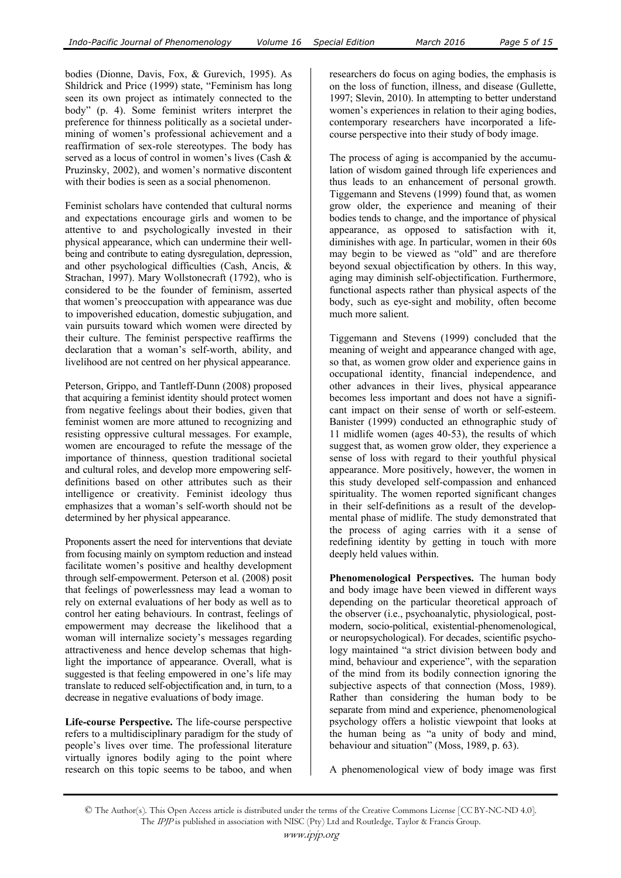bodies (Dionne, Davis, Fox, & Gurevich, 1995). As Shildrick and Price (1999) state, "Feminism has long seen its own project as intimately connected to the body" (p. 4). Some feminist writers interpret the preference for thinness politically as a societal undermining of women's professional achievement and a reaffirmation of sex-role stereotypes. The body has served as a locus of control in women's lives (Cash & Pruzinsky, 2002), and women's normative discontent with their bodies is seen as a social phenomenon.

Feminist scholars have contended that cultural norms and expectations encourage girls and women to be attentive to and psychologically invested in their physical appearance, which can undermine their wellbeing and contribute to eating dysregulation, depression, and other psychological difficulties (Cash, Ancis, & Strachan, 1997). Mary Wollstonecraft (1792), who is considered to be the founder of feminism, asserted that women's preoccupation with appearance was due to impoverished education, domestic subjugation, and vain pursuits toward which women were directed by their culture. The feminist perspective reaffirms the declaration that a woman's self-worth, ability, and livelihood are not centred on her physical appearance.

Peterson, Grippo, and Tantleff-Dunn (2008) proposed that acquiring a feminist identity should protect women from negative feelings about their bodies, given that feminist women are more attuned to recognizing and resisting oppressive cultural messages. For example, women are encouraged to refute the message of the importance of thinness, question traditional societal and cultural roles, and develop more empowering selfdefinitions based on other attributes such as their intelligence or creativity. Feminist ideology thus emphasizes that a woman's self-worth should not be determined by her physical appearance.

Proponents assert the need for interventions that deviate from focusing mainly on symptom reduction and instead facilitate women's positive and healthy development through self-empowerment. Peterson et al. (2008) posit that feelings of powerlessness may lead a woman to rely on external evaluations of her body as well as to control her eating behaviours. In contrast, feelings of empowerment may decrease the likelihood that a woman will internalize society's messages regarding attractiveness and hence develop schemas that highlight the importance of appearance. Overall, what is suggested is that feeling empowered in one's life may translate to reduced self-objectification and, in turn, to a decrease in negative evaluations of body image.

**Life-course Perspective.** The life-course perspective refers to a multidisciplinary paradigm for the study of people's lives over time. The professional literature virtually ignores bodily aging to the point where research on this topic seems to be taboo, and when

researchers do focus on aging bodies, the emphasis is on the loss of function, illness, and disease (Gullette, 1997; Slevin, 2010). In attempting to better understand women's experiences in relation to their aging bodies, contemporary researchers have incorporated a lifecourse perspective into their study of body image.

The process of aging is accompanied by the accumulation of wisdom gained through life experiences and thus leads to an enhancement of personal growth. Tiggemann and Stevens (1999) found that, as women grow older, the experience and meaning of their bodies tends to change, and the importance of physical appearance, as opposed to satisfaction with it, diminishes with age. In particular, women in their 60s may begin to be viewed as "old" and are therefore beyond sexual objectification by others. In this way, aging may diminish self-objectification. Furthermore, functional aspects rather than physical aspects of the body, such as eye-sight and mobility, often become much more salient.

Tiggemann and Stevens (1999) concluded that the meaning of weight and appearance changed with age, so that, as women grow older and experience gains in occupational identity, financial independence, and other advances in their lives, physical appearance becomes less important and does not have a significant impact on their sense of worth or self-esteem. Banister (1999) conducted an ethnographic study of 11 midlife women (ages 40-53), the results of which suggest that, as women grow older, they experience a sense of loss with regard to their youthful physical appearance. More positively, however, the women in this study developed self-compassion and enhanced spirituality. The women reported significant changes in their self-definitions as a result of the developmental phase of midlife. The study demonstrated that the process of aging carries with it a sense of redefining identity by getting in touch with more deeply held values within.

**Phenomenological Perspectives.** The human body and body image have been viewed in different ways depending on the particular theoretical approach of the observer (i.e., psychoanalytic, physiological, postmodern, socio-political, existential-phenomenological, or neuropsychological). For decades, scientific psychology maintained "a strict division between body and mind, behaviour and experience", with the separation of the mind from its bodily connection ignoring the subjective aspects of that connection (Moss, 1989). Rather than considering the human body to be separate from mind and experience, phenomenological psychology offers a holistic viewpoint that looks at the human being as "a unity of body and mind, behaviour and situation" (Moss, 1989, p. 63).

A phenomenological view of body image was first

<sup>©</sup> The Author(s). This Open Access article is distributed under the terms of the Creative Commons License [CC BY-NC-ND 4.0]. The IPJP is published in association with NISC (Pty) Ltd and Routledge, Taylor & Francis Group.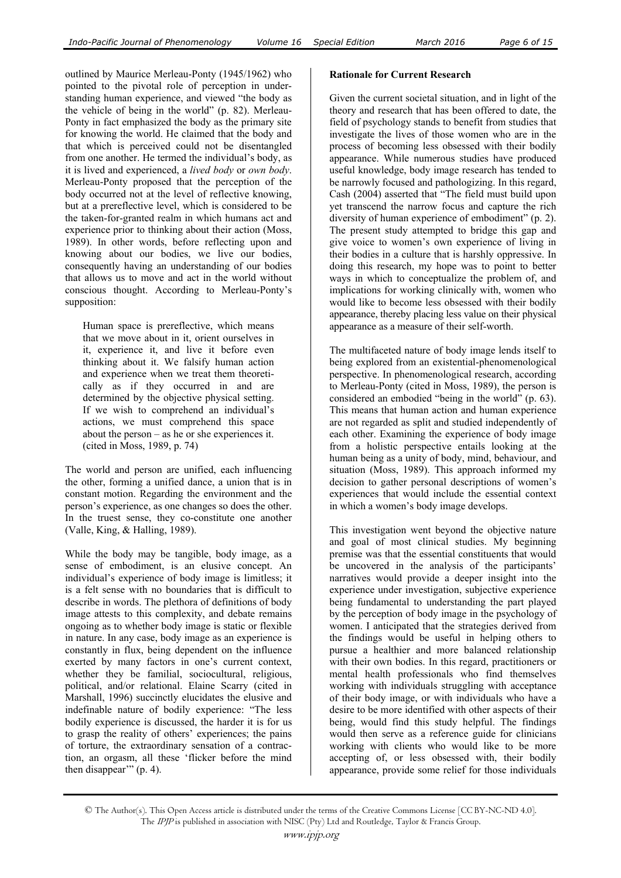outlined by Maurice Merleau-Ponty (1945/1962) who pointed to the pivotal role of perception in understanding human experience, and viewed "the body as the vehicle of being in the world" (p. 82). Merleau-Ponty in fact emphasized the body as the primary site for knowing the world. He claimed that the body and that which is perceived could not be disentangled from one another. He termed the individual's body, as it is lived and experienced, a *lived body* or *own body*. Merleau-Ponty proposed that the perception of the body occurred not at the level of reflective knowing, but at a prereflective level, which is considered to be the taken-for-granted realm in which humans act and experience prior to thinking about their action (Moss, 1989). In other words, before reflecting upon and knowing about our bodies, we live our bodies, consequently having an understanding of our bodies that allows us to move and act in the world without conscious thought. According to Merleau-Ponty's supposition:

Human space is prereflective, which means that we move about in it, orient ourselves in it, experience it, and live it before even thinking about it. We falsify human action and experience when we treat them theoretically as if they occurred in and are determined by the objective physical setting. If we wish to comprehend an individual's actions, we must comprehend this space about the person – as he or she experiences it. (cited in Moss, 1989, p. 74)

The world and person are unified, each influencing the other, forming a unified dance, a union that is in constant motion. Regarding the environment and the person's experience, as one changes so does the other. In the truest sense, they co-constitute one another (Valle, King, & Halling, 1989).

While the body may be tangible, body image, as a sense of embodiment, is an elusive concept. An individual's experience of body image is limitless; it is a felt sense with no boundaries that is difficult to describe in words. The plethora of definitions of body image attests to this complexity, and debate remains ongoing as to whether body image is static or flexible in nature. In any case, body image as an experience is constantly in flux, being dependent on the influence exerted by many factors in one's current context, whether they be familial, sociocultural, religious, political, and/or relational. Elaine Scarry (cited in Marshall, 1996) succinctly elucidates the elusive and indefinable nature of bodily experience: "The less bodily experience is discussed, the harder it is for us to grasp the reality of others' experiences; the pains of torture, the extraordinary sensation of a contraction, an orgasm, all these 'flicker before the mind then disappear'" (p. 4).

## **Rationale for Current Research**

Given the current societal situation, and in light of the theory and research that has been offered to date, the field of psychology stands to benefit from studies that investigate the lives of those women who are in the process of becoming less obsessed with their bodily appearance. While numerous studies have produced useful knowledge, body image research has tended to be narrowly focused and pathologizing. In this regard, Cash (2004) asserted that "The field must build upon yet transcend the narrow focus and capture the rich diversity of human experience of embodiment" (p. 2). The present study attempted to bridge this gap and give voice to women's own experience of living in their bodies in a culture that is harshly oppressive. In doing this research, my hope was to point to better ways in which to conceptualize the problem of, and implications for working clinically with, women who would like to become less obsessed with their bodily appearance, thereby placing less value on their physical appearance as a measure of their self-worth.

The multifaceted nature of body image lends itself to being explored from an existential-phenomenological perspective. In phenomenological research, according to Merleau-Ponty (cited in Moss, 1989), the person is considered an embodied "being in the world" (p. 63). This means that human action and human experience are not regarded as split and studied independently of each other. Examining the experience of body image from a holistic perspective entails looking at the human being as a unity of body, mind, behaviour, and situation (Moss, 1989). This approach informed my decision to gather personal descriptions of women's experiences that would include the essential context in which a women's body image develops.

This investigation went beyond the objective nature and goal of most clinical studies. My beginning premise was that the essential constituents that would be uncovered in the analysis of the participants' narratives would provide a deeper insight into the experience under investigation, subjective experience being fundamental to understanding the part played by the perception of body image in the psychology of women. I anticipated that the strategies derived from the findings would be useful in helping others to pursue a healthier and more balanced relationship with their own bodies. In this regard, practitioners or mental health professionals who find themselves working with individuals struggling with acceptance of their body image, or with individuals who have a desire to be more identified with other aspects of their being, would find this study helpful. The findings would then serve as a reference guide for clinicians working with clients who would like to be more accepting of, or less obsessed with, their bodily appearance, provide some relief for those individuals

<sup>©</sup> The Author(s). This Open Access article is distributed under the terms of the Creative Commons License [CC BY-NC-ND 4.0]. The IPJP is published in association with NISC (Pty) Ltd and Routledge, Taylor & Francis Group.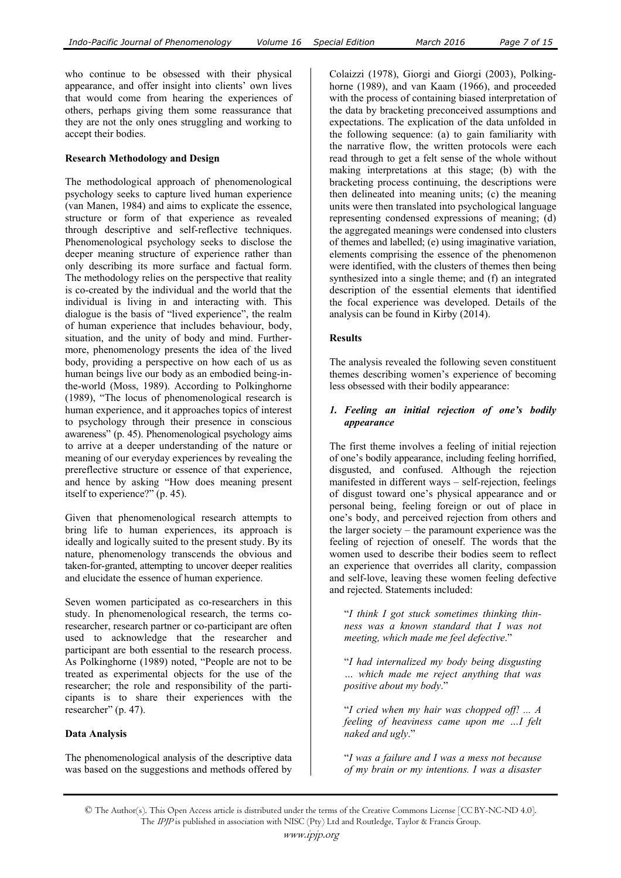who continue to be obsessed with their physical appearance, and offer insight into clients' own lives that would come from hearing the experiences of others, perhaps giving them some reassurance that they are not the only ones struggling and working to accept their bodies.

## **Research Methodology and Design**

The methodological approach of phenomenological psychology seeks to capture lived human experience (van Manen, 1984) and aims to explicate the essence, structure or form of that experience as revealed through descriptive and self-reflective techniques. Phenomenological psychology seeks to disclose the deeper meaning structure of experience rather than only describing its more surface and factual form. The methodology relies on the perspective that reality is co-created by the individual and the world that the individual is living in and interacting with. This dialogue is the basis of "lived experience", the realm of human experience that includes behaviour, body, situation, and the unity of body and mind. Furthermore, phenomenology presents the idea of the lived body, providing a perspective on how each of us as human beings live our body as an embodied being-inthe-world (Moss, 1989). According to Polkinghorne (1989), "The locus of phenomenological research is human experience, and it approaches topics of interest to psychology through their presence in conscious awareness" (p. 45). Phenomenological psychology aims to arrive at a deeper understanding of the nature or meaning of our everyday experiences by revealing the prereflective structure or essence of that experience, and hence by asking "How does meaning present itself to experience?" (p. 45).

Given that phenomenological research attempts to bring life to human experiences, its approach is ideally and logically suited to the present study. By its nature, phenomenology transcends the obvious and taken-for-granted, attempting to uncover deeper realities and elucidate the essence of human experience.

Seven women participated as co-researchers in this study. In phenomenological research, the terms coresearcher, research partner or co-participant are often used to acknowledge that the researcher and participant are both essential to the research process. As Polkinghorne (1989) noted, "People are not to be treated as experimental objects for the use of the researcher; the role and responsibility of the participants is to share their experiences with the researcher" (p. 47).

## **Data Analysis**

The phenomenological analysis of the descriptive data was based on the suggestions and methods offered by Colaizzi (1978), Giorgi and Giorgi (2003), Polkinghorne (1989), and van Kaam (1966), and proceeded with the process of containing biased interpretation of the data by bracketing preconceived assumptions and expectations. The explication of the data unfolded in the following sequence: (a) to gain familiarity with the narrative flow, the written protocols were each read through to get a felt sense of the whole without making interpretations at this stage; (b) with the bracketing process continuing, the descriptions were then delineated into meaning units; (c) the meaning units were then translated into psychological language representing condensed expressions of meaning; (d) the aggregated meanings were condensed into clusters of themes and labelled; (e) using imaginative variation, elements comprising the essence of the phenomenon were identified, with the clusters of themes then being synthesized into a single theme; and (f) an integrated description of the essential elements that identified the focal experience was developed. Details of the analysis can be found in Kirby (2014).

## **Results**

The analysis revealed the following seven constituent themes describing women's experience of becoming less obsessed with their bodily appearance:

## *1. Feeling an initial rejection of one's bodily appearance*

The first theme involves a feeling of initial rejection of one's bodily appearance, including feeling horrified, disgusted, and confused. Although the rejection manifested in different ways – self-rejection, feelings of disgust toward one's physical appearance and or personal being, feeling foreign or out of place in one's body, and perceived rejection from others and the larger society – the paramount experience was the feeling of rejection of oneself. The words that the women used to describe their bodies seem to reflect an experience that overrides all clarity, compassion and self-love, leaving these women feeling defective and rejected. Statements included:

"*I think I got stuck sometimes thinking thinness was a known standard that I was not meeting, which made me feel defective*."

"*I had internalized my body being disgusting … which made me reject anything that was positive about my body*."

"*I cried when my hair was chopped off! ... A feeling of heaviness came upon me …I felt naked and ugly*."

"*I was a failure and I was a mess not because of my brain or my intentions. I was a disaster* 

© The Author(s). This Open Access article is distributed under the terms of the Creative Commons License [CC BY-NC-ND 4.0]. The IPJP is published in association with NISC (Pty) Ltd and Routledge, Taylor & Francis Group.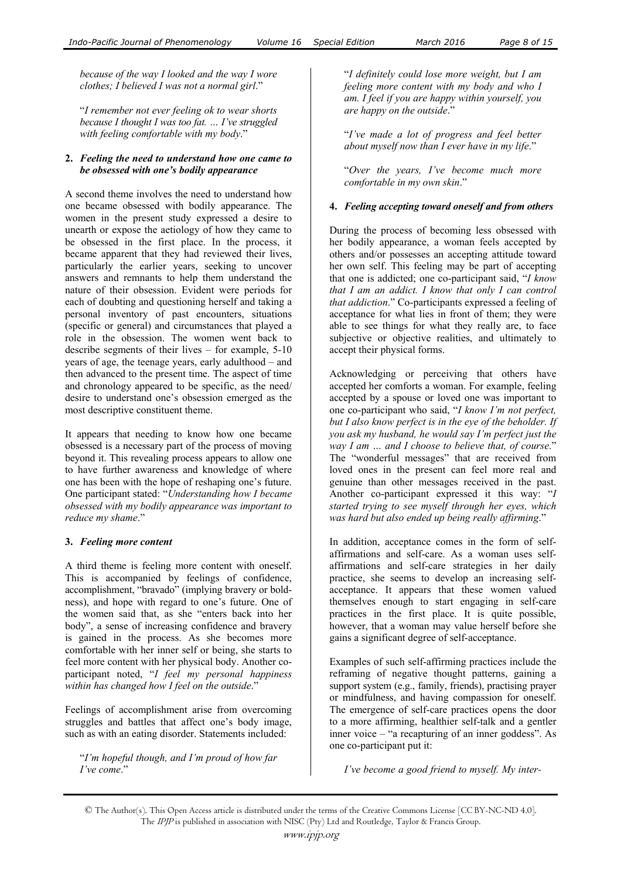*because of the way I looked and the way I wore clothes; I believed I was not a normal girl*."

"*I remember not ever feeling ok to wear shorts because I thought I was too fat. … I've struggled with feeling comfortable with my body*."

#### **2.** *Feeling the need to understand how one came to be obsessed with one's bodily appearance*

A second theme involves the need to understand how one became obsessed with bodily appearance. The women in the present study expressed a desire to unearth or expose the aetiology of how they came to be obsessed in the first place. In the process, it became apparent that they had reviewed their lives, particularly the earlier years, seeking to uncover answers and remnants to help them understand the nature of their obsession. Evident were periods for each of doubting and questioning herself and taking a personal inventory of past encounters, situations (specific or general) and circumstances that played a role in the obsession. The women went back to describe segments of their lives – for example, 5-10 years of age, the teenage years, early adulthood – and then advanced to the present time. The aspect of time and chronology appeared to be specific, as the need/ desire to understand one's obsession emerged as the most descriptive constituent theme.

It appears that needing to know how one became obsessed is a necessary part of the process of moving beyond it. This revealing process appears to allow one to have further awareness and knowledge of where one has been with the hope of reshaping one's future. One participant stated: "*Understanding how I became obsessed with my bodily appearance was important to reduce my shame*."

#### **3.** *Feeling more content*

A third theme is feeling more content with oneself. This is accompanied by feelings of confidence, accomplishment, "bravado" (implying bravery or boldness), and hope with regard to one's future. One of the women said that, as she "enters back into her body", a sense of increasing confidence and bravery is gained in the process. As she becomes more comfortable with her inner self or being, she starts to feel more content with her physical body. Another coparticipant noted, "*I feel my personal happiness within has changed how I feel on the outside*."

Feelings of accomplishment arise from overcoming struggles and battles that affect one's body image, such as with an eating disorder. Statements included:

"*I'm hopeful though, and I'm proud of how far I've come*."

"*I definitely could lose more weight, but I am feeling more content with my body and who I am. I feel if you are happy within yourself, you are happy on the outside*."

"*I've made a lot of progress and feel better about myself now than I ever have in my life*."

"*Over the years, I've become much more comfortable in my own skin*."

#### **4.** *Feeling accepting toward oneself and from others*

During the process of becoming less obsessed with her bodily appearance, a woman feels accepted by others and/or possesses an accepting attitude toward her own self. This feeling may be part of accepting that one is addicted; one co-participant said, "*I know that I am an addict. I know that only I can control that addiction*." Co-participants expressed a feeling of acceptance for what lies in front of them; they were able to see things for what they really are, to face subjective or objective realities, and ultimately to accept their physical forms.

Acknowledging or perceiving that others have accepted her comforts a woman. For example, feeling accepted by a spouse or loved one was important to one co-participant who said, "*I know I'm not perfect, but I also know perfect is in the eye of the beholder. If you ask my husband, he would say I'm perfect just the way I am … and I choose to believe that, of course*." The "wonderful messages" that are received from loved ones in the present can feel more real and genuine than other messages received in the past. Another co-participant expressed it this way: "*I started trying to see myself through her eyes, which was hard but also ended up being really affirming*."

In addition, acceptance comes in the form of selfaffirmations and self-care. As a woman uses selfaffirmations and self-care strategies in her daily practice, she seems to develop an increasing selfacceptance. It appears that these women valued themselves enough to start engaging in self-care practices in the first place. It is quite possible, however, that a woman may value herself before she gains a significant degree of self-acceptance.

Examples of such self-affirming practices include the reframing of negative thought patterns, gaining a support system (e.g., family, friends), practising prayer or mindfulness, and having compassion for oneself. The emergence of self-care practices opens the door to a more affirming, healthier self-talk and a gentler inner voice – "a recapturing of an inner goddess". As one co-participant put it:

*I've become a good friend to myself. My inter-*

<sup>©</sup> The Author(s). This Open Access article is distributed under the terms of the Creative Commons License [CC BY-NC-ND 4.0]. The IPJP is published in association with NISC (Pty) Ltd and Routledge, Taylor & Francis Group.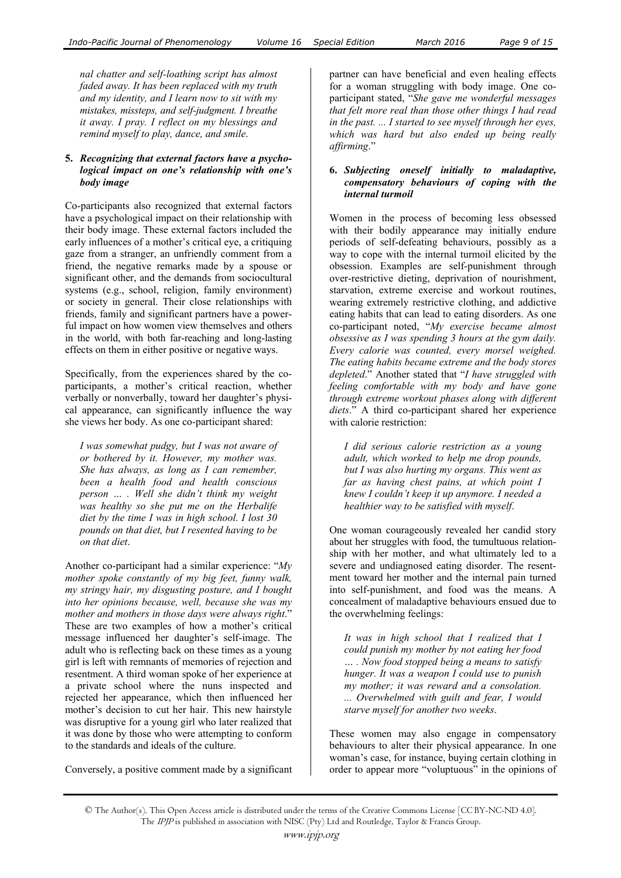*nal chatter and self-loathing script has almost faded away. It has been replaced with my truth and my identity, and I learn now to sit with my mistakes, missteps, and self-judgment. I breathe it away. I pray. I reflect on my blessings and remind myself to play, dance, and smile*.

#### **5.** *Recognizing that external factors have a psychological impact on one's relationship with one's body image*

Co-participants also recognized that external factors have a psychological impact on their relationship with their body image. These external factors included the early influences of a mother's critical eye, a critiquing gaze from a stranger, an unfriendly comment from a friend, the negative remarks made by a spouse or significant other, and the demands from sociocultural systems (e.g., school, religion, family environment) or society in general. Their close relationships with friends, family and significant partners have a powerful impact on how women view themselves and others in the world, with both far-reaching and long-lasting effects on them in either positive or negative ways.

Specifically, from the experiences shared by the coparticipants, a mother's critical reaction, whether verbally or nonverbally, toward her daughter's physical appearance, can significantly influence the way she views her body. As one co-participant shared:

*I was somewhat pudgy, but I was not aware of or bothered by it. However, my mother was. She has always, as long as I can remember, been a health food and health conscious person … . Well she didn't think my weight was healthy so she put me on the Herbalife diet by the time I was in high school. I lost 30 pounds on that diet, but I resented having to be on that diet*.

Another co-participant had a similar experience: "*My mother spoke constantly of my big feet, funny walk, my stringy hair, my disgusting posture, and I bought into her opinions because, well, because she was my mother and mothers in those days were always right*." These are two examples of how a mother's critical message influenced her daughter's self-image. The adult who is reflecting back on these times as a young girl is left with remnants of memories of rejection and resentment. A third woman spoke of her experience at a private school where the nuns inspected and rejected her appearance, which then influenced her mother's decision to cut her hair. This new hairstyle was disruptive for a young girl who later realized that it was done by those who were attempting to conform to the standards and ideals of the culture.

Conversely, a positive comment made by a significant

partner can have beneficial and even healing effects for a woman struggling with body image. One coparticipant stated, "*She gave me wonderful messages that felt more real than those other things I had read in the past. ... I started to see myself through her eyes, which was hard but also ended up being really affirming*."

#### **6.** *Subjecting oneself initially to maladaptive, compensatory behaviours of coping with the internal turmoil*

Women in the process of becoming less obsessed with their bodily appearance may initially endure periods of self-defeating behaviours, possibly as a way to cope with the internal turmoil elicited by the obsession. Examples are self-punishment through over-restrictive dieting, deprivation of nourishment, starvation, extreme exercise and workout routines, wearing extremely restrictive clothing, and addictive eating habits that can lead to eating disorders. As one co-participant noted, "*My exercise became almost obsessive as I was spending 3 hours at the gym daily. Every calorie was counted, every morsel weighed. The eating habits became extreme and the body stores depleted*." Another stated that "*I have struggled with feeling comfortable with my body and have gone through extreme workout phases along with different diets*." A third co-participant shared her experience with calorie restriction:

*I did serious calorie restriction as a young adult, which worked to help me drop pounds, but I was also hurting my organs. This went as far as having chest pains, at which point I knew I couldn't keep it up anymore. I needed a healthier way to be satisfied with myself*.

One woman courageously revealed her candid story about her struggles with food, the tumultuous relationship with her mother, and what ultimately led to a severe and undiagnosed eating disorder. The resentment toward her mother and the internal pain turned into self-punishment, and food was the means. A concealment of maladaptive behaviours ensued due to the overwhelming feelings:

*It was in high school that I realized that I could punish my mother by not eating her food … . Now food stopped being a means to satisfy hunger. It was a weapon I could use to punish my mother; it was reward and a consolation. ... Overwhelmed with guilt and fear, I would starve myself for another two weeks*.

These women may also engage in compensatory behaviours to alter their physical appearance. In one woman's case, for instance, buying certain clothing in order to appear more "voluptuous" in the opinions of

<sup>©</sup> The Author(s). This Open Access article is distributed under the terms of the Creative Commons License [CC BY-NC-ND 4.0]. The IPJP is published in association with NISC (Pty) Ltd and Routledge, Taylor & Francis Group.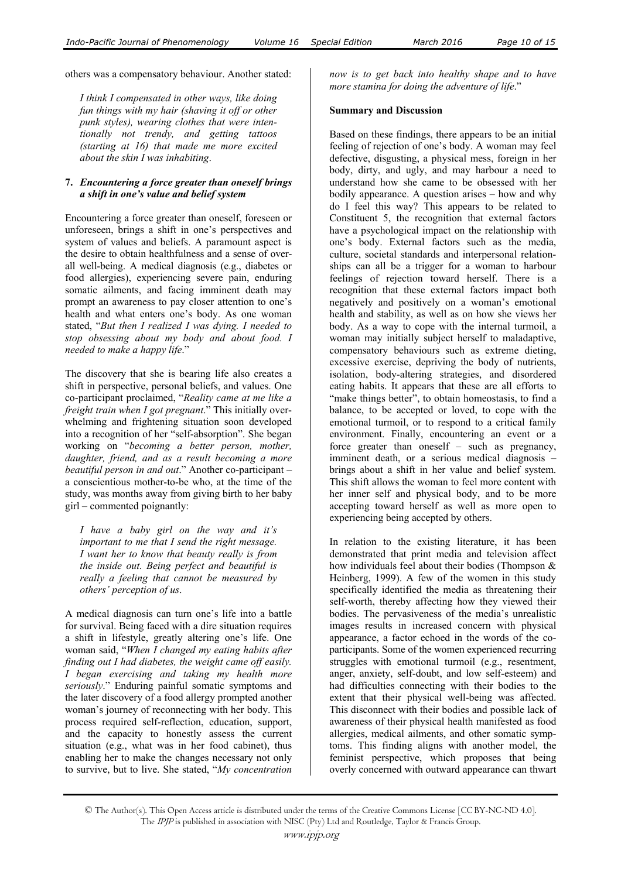others was a compensatory behaviour. Another stated:

*I think I compensated in other ways, like doing fun things with my hair (shaving it off or other punk styles), wearing clothes that were intentionally not trendy, and getting tattoos (starting at 16) that made me more excited about the skin I was inhabiting*.

#### **7.** *Encountering a force greater than oneself brings a shift in one's value and belief system*

Encountering a force greater than oneself, foreseen or unforeseen, brings a shift in one's perspectives and system of values and beliefs. A paramount aspect is the desire to obtain healthfulness and a sense of overall well-being. A medical diagnosis (e.g., diabetes or food allergies), experiencing severe pain, enduring somatic ailments, and facing imminent death may prompt an awareness to pay closer attention to one's health and what enters one's body. As one woman stated, "*But then I realized I was dying. I needed to stop obsessing about my body and about food. I needed to make a happy life*."

The discovery that she is bearing life also creates a shift in perspective, personal beliefs, and values. One co-participant proclaimed, "*Reality came at me like a freight train when I got pregnant*." This initially overwhelming and frightening situation soon developed into a recognition of her "self-absorption". She began working on "*becoming a better person, mother, daughter, friend, and as a result becoming a more beautiful person in and out*." Another co-participant – a conscientious mother-to-be who, at the time of the study, was months away from giving birth to her baby girl – commented poignantly:

*I have a baby girl on the way and it's important to me that I send the right message. I want her to know that beauty really is from the inside out. Being perfect and beautiful is really a feeling that cannot be measured by others' perception of us*.

A medical diagnosis can turn one's life into a battle for survival. Being faced with a dire situation requires a shift in lifestyle, greatly altering one's life. One woman said, "*When I changed my eating habits after finding out I had diabetes, the weight came off easily. I began exercising and taking my health more seriously*." Enduring painful somatic symptoms and the later discovery of a food allergy prompted another woman's journey of reconnecting with her body. This process required self-reflection, education, support, and the capacity to honestly assess the current situation (e.g., what was in her food cabinet), thus enabling her to make the changes necessary not only to survive, but to live. She stated, "*My concentration*  *now is to get back into healthy shape and to have more stamina for doing the adventure of life*."

#### **Summary and Discussion**

Based on these findings, there appears to be an initial feeling of rejection of one's body. A woman may feel defective, disgusting, a physical mess, foreign in her body, dirty, and ugly, and may harbour a need to understand how she came to be obsessed with her bodily appearance. A question arises – how and why do I feel this way? This appears to be related to Constituent 5, the recognition that external factors have a psychological impact on the relationship with one's body. External factors such as the media, culture, societal standards and interpersonal relationships can all be a trigger for a woman to harbour feelings of rejection toward herself. There is a recognition that these external factors impact both negatively and positively on a woman's emotional health and stability, as well as on how she views her body. As a way to cope with the internal turmoil, a woman may initially subject herself to maladaptive, compensatory behaviours such as extreme dieting, excessive exercise, depriving the body of nutrients, isolation, body-altering strategies, and disordered eating habits. It appears that these are all efforts to "make things better", to obtain homeostasis, to find a balance, to be accepted or loved, to cope with the emotional turmoil, or to respond to a critical family environment. Finally, encountering an event or a force greater than oneself – such as pregnancy, imminent death, or a serious medical diagnosis – brings about a shift in her value and belief system. This shift allows the woman to feel more content with her inner self and physical body, and to be more accepting toward herself as well as more open to experiencing being accepted by others.

In relation to the existing literature, it has been demonstrated that print media and television affect how individuals feel about their bodies (Thompson & Heinberg, 1999). A few of the women in this study specifically identified the media as threatening their self-worth, thereby affecting how they viewed their bodies. The pervasiveness of the media's unrealistic images results in increased concern with physical appearance, a factor echoed in the words of the coparticipants. Some of the women experienced recurring struggles with emotional turmoil (e.g., resentment, anger, anxiety, self-doubt, and low self-esteem) and had difficulties connecting with their bodies to the extent that their physical well-being was affected. This disconnect with their bodies and possible lack of awareness of their physical health manifested as food allergies, medical ailments, and other somatic symptoms. This finding aligns with another model, the feminist perspective, which proposes that being overly concerned with outward appearance can thwart

<sup>©</sup> The Author(s). This Open Access article is distributed under the terms of the Creative Commons License [CC BY-NC-ND 4.0]. The IPJP is published in association with NISC (Pty) Ltd and Routledge, Taylor & Francis Group.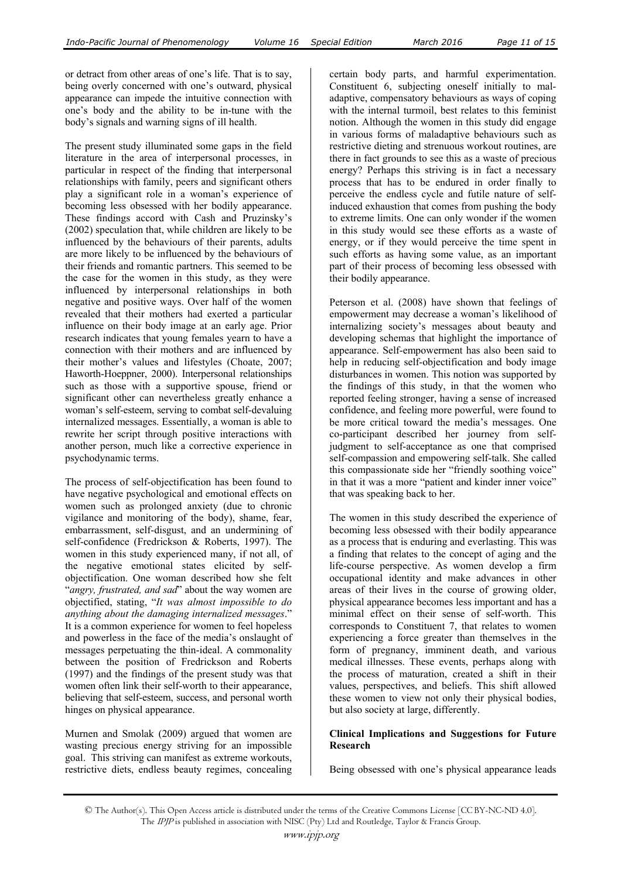or detract from other areas of one's life. That is to say, being overly concerned with one's outward, physical appearance can impede the intuitive connection with one's body and the ability to be in-tune with the body's signals and warning signs of ill health.

The present study illuminated some gaps in the field literature in the area of interpersonal processes, in particular in respect of the finding that interpersonal relationships with family, peers and significant others play a significant role in a woman's experience of becoming less obsessed with her bodily appearance. These findings accord with Cash and Pruzinsky's (2002) speculation that, while children are likely to be influenced by the behaviours of their parents, adults are more likely to be influenced by the behaviours of their friends and romantic partners. This seemed to be the case for the women in this study, as they were influenced by interpersonal relationships in both negative and positive ways. Over half of the women revealed that their mothers had exerted a particular influence on their body image at an early age. Prior research indicates that young females yearn to have a connection with their mothers and are influenced by their mother's values and lifestyles (Choate, 2007; Haworth-Hoeppner, 2000). Interpersonal relationships such as those with a supportive spouse, friend or significant other can nevertheless greatly enhance a woman's self-esteem, serving to combat self-devaluing internalized messages. Essentially, a woman is able to rewrite her script through positive interactions with another person, much like a corrective experience in psychodynamic terms.

The process of self-objectification has been found to have negative psychological and emotional effects on women such as prolonged anxiety (due to chronic vigilance and monitoring of the body), shame, fear, embarrassment, self-disgust, and an undermining of self-confidence (Fredrickson & Roberts, 1997). The women in this study experienced many, if not all, of the negative emotional states elicited by selfobjectification. One woman described how she felt "*angry, frustrated, and sad*" about the way women are objectified, stating, "*It was almost impossible to do anything about the damaging internalized messages*." It is a common experience for women to feel hopeless and powerless in the face of the media's onslaught of messages perpetuating the thin-ideal. A commonality between the position of Fredrickson and Roberts (1997) and the findings of the present study was that women often link their self-worth to their appearance, believing that self-esteem, success, and personal worth hinges on physical appearance.

Murnen and Smolak (2009) argued that women are wasting precious energy striving for an impossible goal. This striving can manifest as extreme workouts, restrictive diets, endless beauty regimes, concealing certain body parts, and harmful experimentation. Constituent 6, subjecting oneself initially to maladaptive, compensatory behaviours as ways of coping with the internal turmoil, best relates to this feminist notion. Although the women in this study did engage in various forms of maladaptive behaviours such as restrictive dieting and strenuous workout routines, are there in fact grounds to see this as a waste of precious energy? Perhaps this striving is in fact a necessary process that has to be endured in order finally to perceive the endless cycle and futile nature of selfinduced exhaustion that comes from pushing the body to extreme limits. One can only wonder if the women in this study would see these efforts as a waste of energy, or if they would perceive the time spent in such efforts as having some value, as an important part of their process of becoming less obsessed with their bodily appearance.

Peterson et al. (2008) have shown that feelings of empowerment may decrease a woman's likelihood of internalizing society's messages about beauty and developing schemas that highlight the importance of appearance. Self-empowerment has also been said to help in reducing self-objectification and body image disturbances in women. This notion was supported by the findings of this study, in that the women who reported feeling stronger, having a sense of increased confidence, and feeling more powerful, were found to be more critical toward the media's messages. One co-participant described her journey from selfjudgment to self-acceptance as one that comprised self-compassion and empowering self-talk. She called this compassionate side her "friendly soothing voice" in that it was a more "patient and kinder inner voice" that was speaking back to her.

The women in this study described the experience of becoming less obsessed with their bodily appearance as a process that is enduring and everlasting. This was a finding that relates to the concept of aging and the life-course perspective. As women develop a firm occupational identity and make advances in other areas of their lives in the course of growing older, physical appearance becomes less important and has a minimal effect on their sense of self-worth. This corresponds to Constituent 7, that relates to women experiencing a force greater than themselves in the form of pregnancy, imminent death, and various medical illnesses. These events, perhaps along with the process of maturation, created a shift in their values, perspectives, and beliefs. This shift allowed these women to view not only their physical bodies, but also society at large, differently.

### **Clinical Implications and Suggestions for Future Research**

Being obsessed with one's physical appearance leads

<sup>©</sup> The Author(s). This Open Access article is distributed under the terms of the Creative Commons License [CC BY-NC-ND 4.0]. The IPJP is published in association with NISC (Pty) Ltd and Routledge, Taylor & Francis Group.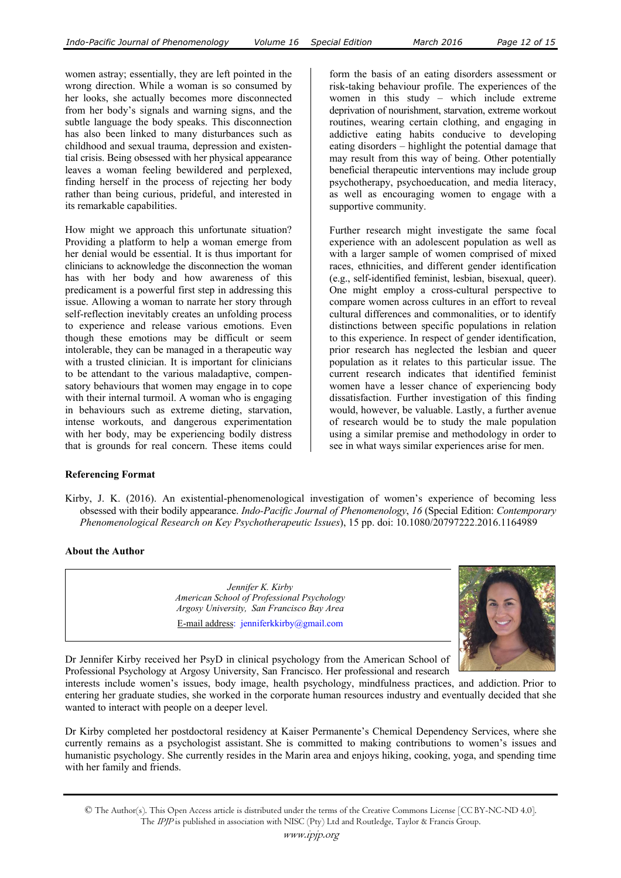women astray; essentially, they are left pointed in the wrong direction. While a woman is so consumed by her looks, she actually becomes more disconnected from her body's signals and warning signs, and the subtle language the body speaks. This disconnection has also been linked to many disturbances such as childhood and sexual trauma, depression and existential crisis. Being obsessed with her physical appearance leaves a woman feeling bewildered and perplexed, finding herself in the process of rejecting her body rather than being curious, prideful, and interested in its remarkable capabilities.

How might we approach this unfortunate situation? Providing a platform to help a woman emerge from her denial would be essential. It is thus important for clinicians to acknowledge the disconnection the woman has with her body and how awareness of this predicament is a powerful first step in addressing this issue. Allowing a woman to narrate her story through self-reflection inevitably creates an unfolding process to experience and release various emotions. Even though these emotions may be difficult or seem intolerable, they can be managed in a therapeutic way with a trusted clinician. It is important for clinicians to be attendant to the various maladaptive, compensatory behaviours that women may engage in to cope with their internal turmoil. A woman who is engaging in behaviours such as extreme dieting, starvation, intense workouts, and dangerous experimentation with her body, may be experiencing bodily distress that is grounds for real concern. These items could form the basis of an eating disorders assessment or risk-taking behaviour profile. The experiences of the women in this study – which include extreme deprivation of nourishment, starvation, extreme workout routines, wearing certain clothing, and engaging in addictive eating habits conducive to developing eating disorders – highlight the potential damage that may result from this way of being. Other potentially beneficial therapeutic interventions may include group psychotherapy, psychoeducation, and media literacy, as well as encouraging women to engage with a supportive community.

Further research might investigate the same focal experience with an adolescent population as well as with a larger sample of women comprised of mixed races, ethnicities, and different gender identification (e.g., self-identified feminist, lesbian, bisexual, queer). One might employ a cross-cultural perspective to compare women across cultures in an effort to reveal cultural differences and commonalities, or to identify distinctions between specific populations in relation to this experience. In respect of gender identification, prior research has neglected the lesbian and queer population as it relates to this particular issue. The current research indicates that identified feminist women have a lesser chance of experiencing body dissatisfaction. Further investigation of this finding would, however, be valuable. Lastly, a further avenue of research would be to study the male population using a similar premise and methodology in order to see in what ways similar experiences arise for men.

## **Referencing Format**

Kirby, J. K. (2016). An existential-phenomenological investigation of women's experience of becoming less obsessed with their bodily appearance. *Indo-Pacific Journal of Phenomenology*, *16* (Special Edition: *Contemporary Phenomenological Research on Key Psychotherapeutic Issues*), 15 pp. doi: 10.1080/20797222.2016.1164989

## **About the Author**

*Jennifer K. Kirby American School of Professional Psychology Argosy University, San Francisco Bay Area*  E-mail address: jenniferkkirby@gmail.com



Dr Jennifer Kirby received her PsyD in clinical psychology from the American School of Professional Psychology at Argosy University, San Francisco. Her professional and research

interests include women's issues, body image, health psychology, mindfulness practices, and addiction. Prior to entering her graduate studies, she worked in the corporate human resources industry and eventually decided that she wanted to interact with people on a deeper level.

Dr Kirby completed her postdoctoral residency at Kaiser Permanente's Chemical Dependency Services, where she currently remains as a psychologist assistant. She is committed to making contributions to women's issues and humanistic psychology. She currently resides in the Marin area and enjoys hiking, cooking, yoga, and spending time with her family and friends.

<sup>©</sup> The Author(s). This Open Access article is distributed under the terms of the Creative Commons License [CC BY-NC-ND 4.0]. The IPJP is published in association with NISC (Pty) Ltd and Routledge, Taylor & Francis Group.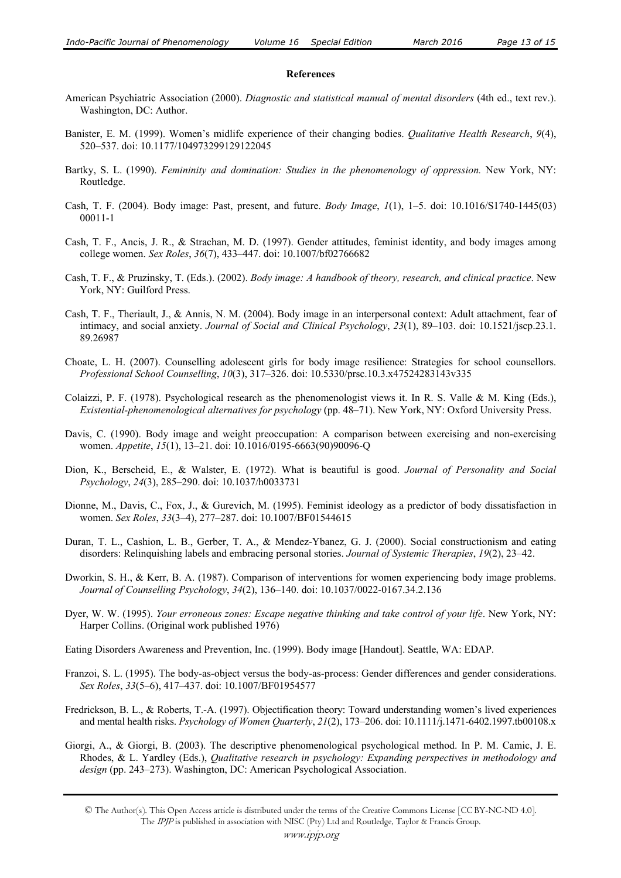#### **References**

- American Psychiatric Association (2000). *Diagnostic and statistical manual of mental disorders* (4th ed., text rev.). Washington, DC: Author.
- Banister, E. M. (1999). Women's midlife experience of their changing bodies. *Qualitative Health Research*, *9*(4), 520–537. doi: 10.1177/104973299129122045
- Bartky, S. L. (1990). *Femininity and domination: Studies in the phenomenology of oppression.* New York, NY: Routledge.
- Cash, T. F. (2004). Body image: Past, present, and future. *Body Image*, *1*(1), 1–5. doi: 10.1016/S1740-1445(03) 00011-1
- Cash, T. F., Ancis, J. R., & Strachan, M. D. (1997). Gender attitudes, feminist identity, and body images among college women. *Sex Roles*, *36*(7), 433–447. doi: 10.1007/bf02766682
- Cash, T. F., & Pruzinsky, T. (Eds.). (2002). *Body image: A handbook of theory, research, and clinical practice*. New York, NY: Guilford Press.
- Cash, T. F., Theriault, J., & Annis, N. M. (2004). Body image in an interpersonal context: Adult attachment, fear of intimacy, and social anxiety. *Journal of Social and Clinical Psychology*, *23*(1), 89–103. doi: 10.1521/jscp.23.1. 89.26987
- Choate, L. H. (2007). Counselling adolescent girls for body image resilience: Strategies for school counsellors. *Professional School Counselling*, *10*(3), 317–326. doi: 10.5330/prsc.10.3.x47524283143v335
- Colaizzi, P. F. (1978). Psychological research as the phenomenologist views it. In R. S. Valle & M. King (Eds.), *Existential-phenomenological alternatives for psychology* (pp. 48–71). New York, NY: Oxford University Press.
- Davis, C. (1990). Body image and weight preoccupation: A comparison between exercising and non-exercising women. *Appetite*, *15*(1), 13–21. doi: 10.1016/0195-6663(90)90096-Q
- Dion, K., Berscheid, E., & Walster, E. (1972). What is beautiful is good. *Journal of Personality and Social Psychology*, *24*(3), 285–290. doi: 10.1037/h0033731
- Dionne, M., Davis, C., Fox, J., & Gurevich, M. (1995). Feminist ideology as a predictor of body dissatisfaction in women. *Sex Roles*, *33*(3–4), 277–287. doi: 10.1007/BF01544615
- Duran, T. L., Cashion, L. B., Gerber, T. A., & Mendez-Ybanez, G. J. (2000). Social constructionism and eating disorders: Relinquishing labels and embracing personal stories. *Journal of Systemic Therapies*, *19*(2), 23–42.
- Dworkin, S. H., & Kerr, B. A. (1987). Comparison of interventions for women experiencing body image problems. *Journal of Counselling Psychology*, *34*(2), 136–140. doi: 10.1037/0022-0167.34.2.136
- Dyer, W. W. (1995). *Your erroneous zones: Escape negative thinking and take control of your life*. New York, NY: Harper Collins. (Original work published 1976)
- Eating Disorders Awareness and Prevention, Inc. (1999). Body image [Handout]. Seattle, WA: EDAP.
- Franzoi, S. L. (1995). The body-as-object versus the body-as-process: Gender differences and gender considerations. *Sex Roles*, *33*(5–6), 417–437. doi: 10.1007/BF01954577
- Fredrickson, B. L., & Roberts, T.-A. (1997). Objectification theory: Toward understanding women's lived experiences and mental health risks. *Psychology of Women Quarterly*, *21*(2), 173–206. doi: 10.1111/j.1471-6402.1997.tb00108.x
- Giorgi, A., & Giorgi, B. (2003). The descriptive phenomenological psychological method. In P. M. Camic, J. E. Rhodes, & L. Yardley (Eds.), *Qualitative research in psychology: Expanding perspectives in methodology and design* (pp. 243–273). Washington, DC: American Psychological Association.

<sup>©</sup> The Author(s). This Open Access article is distributed under the terms of the Creative Commons License [CC BY-NC-ND 4.0]. The IPJP is published in association with NISC (Pty) Ltd and Routledge, Taylor & Francis Group.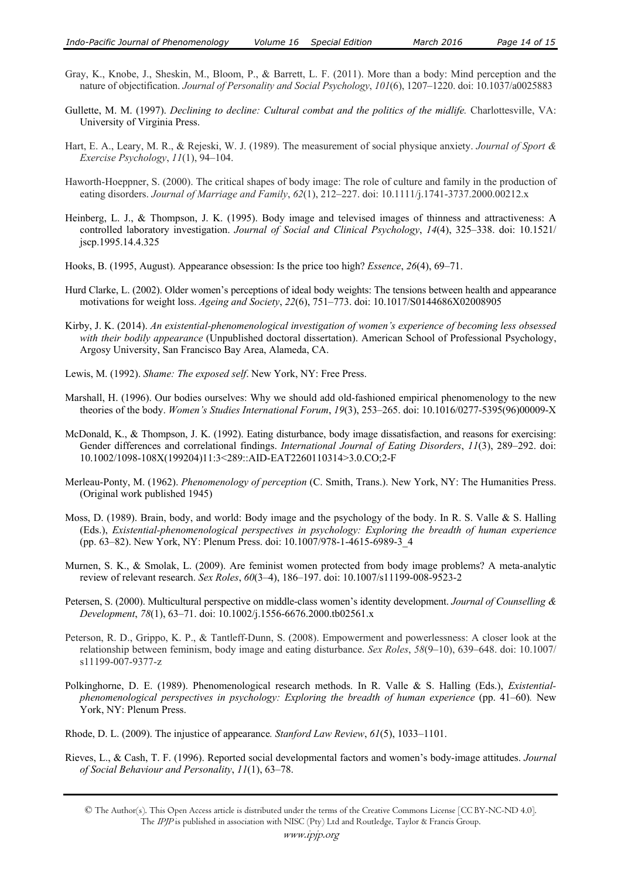- Gray, K., Knobe, J., Sheskin, M., Bloom, P., & Barrett, L. F. (2011). More than a body: Mind perception and the nature of objectification. *Journal of Personality and Social Psychology*, *101*(6), 1207–1220. doi: 10.1037/a0025883
- Gullette, M. M. (1997). *Declining to decline: Cultural combat and the politics of the midlife.* Charlottesville, VA: University of Virginia Press.
- Hart, E. A., Leary, M. R., & Rejeski, W. J. (1989). The measurement of social physique anxiety. *Journal of Sport & Exercise Psychology*, *11*(1), 94–104.
- Haworth-Hoeppner, S. (2000). The critical shapes of body image: The role of culture and family in the production of eating disorders. *Journal of Marriage and Family*, *62*(1), 212–227. doi: 10.1111/j.1741-3737.2000.00212.x
- Heinberg, L. J., & Thompson, J. K. (1995). Body image and televised images of thinness and attractiveness: A controlled laboratory investigation. *Journal of Social and Clinical Psychology*, *14*(4), 325–338. doi: 10.1521/ jscp.1995.14.4.325
- Hooks, B. (1995, August). Appearance obsession: Is the price too high? *Essence*, *26*(4), 69–71.
- Hurd Clarke, L. (2002). Older women's perceptions of ideal body weights: The tensions between health and appearance motivations for weight loss. *Ageing and Society*, *22*(6), 751–773. doi: 10.1017/S0144686X02008905
- Kirby, J. K. (2014). *An existential-phenomenological investigation of women's experience of becoming less obsessed with their bodily appearance* (Unpublished doctoral dissertation). American School of Professional Psychology, Argosy University, San Francisco Bay Area, Alameda, CA.
- Lewis, M. (1992). *Shame: The exposed self*. New York, NY: Free Press.
- Marshall, H. (1996). Our bodies ourselves: Why we should add old-fashioned empirical phenomenology to the new theories of the body. *Women's Studies International Forum*, *19*(3), 253–265. doi: 10.1016/0277-5395(96)00009-X
- McDonald, K., & Thompson, J. K. (1992). Eating disturbance, body image dissatisfaction, and reasons for exercising: Gender differences and correlational findings. *International Journal of Eating Disorders*, *11*(3), 289–292. doi: 10.1002/1098-108X(199204)11:3<289::AID-EAT2260110314>3.0.CO;2-F
- Merleau-Ponty, M. (1962). *Phenomenology of perception* (C. Smith, Trans.). New York, NY: The Humanities Press. (Original work published 1945)
- Moss, D. (1989). Brain, body, and world: Body image and the psychology of the body. In R. S. Valle & S. Halling (Eds.), *Existential-phenomenological perspectives in psychology: Exploring the breadth of human experience* (pp. 63–82). New York, NY: Plenum Press. doi: 10.1007/978-1-4615-6989-3\_4
- Murnen, S. K., & Smolak, L. (2009). Are feminist women protected from body image problems? A meta-analytic review of relevant research. *Sex Roles*, *60*(3–4), 186–197. doi: 10.1007/s11199-008-9523-2
- Petersen, S. (2000). Multicultural perspective on middle-class women's identity development. *Journal of Counselling & Development*, *78*(1), 63–71. doi: 10.1002/j.1556-6676.2000.tb02561.x
- Peterson, R. D., Grippo, K. P., & Tantleff-Dunn, S. (2008). Empowerment and powerlessness: A closer look at the relationship between feminism, body image and eating disturbance. *Sex Roles*, *58*(9–10), 639–648. doi: 10.1007/ s11199-007-9377-z
- Polkinghorne, D. E. (1989). Phenomenological research methods. In R. Valle & S. Halling (Eds.), *Existentialphenomenological perspectives in psychology: Exploring the breadth of human experience* (pp. 41–60)*.* New York, NY: Plenum Press.
- Rhode, D. L. (2009). The injustice of appearance*. Stanford Law Review*, *61*(5), 1033–1101.
- Rieves, L., & Cash, T. F. (1996). Reported social developmental factors and women's body-image attitudes. *Journal of Social Behaviour and Personality*, *11*(1), 63–78.

<sup>©</sup> The Author(s). This Open Access article is distributed under the terms of the Creative Commons License [CC BY-NC-ND 4.0]. The IPJP is published in association with NISC (Pty) Ltd and Routledge, Taylor & Francis Group.